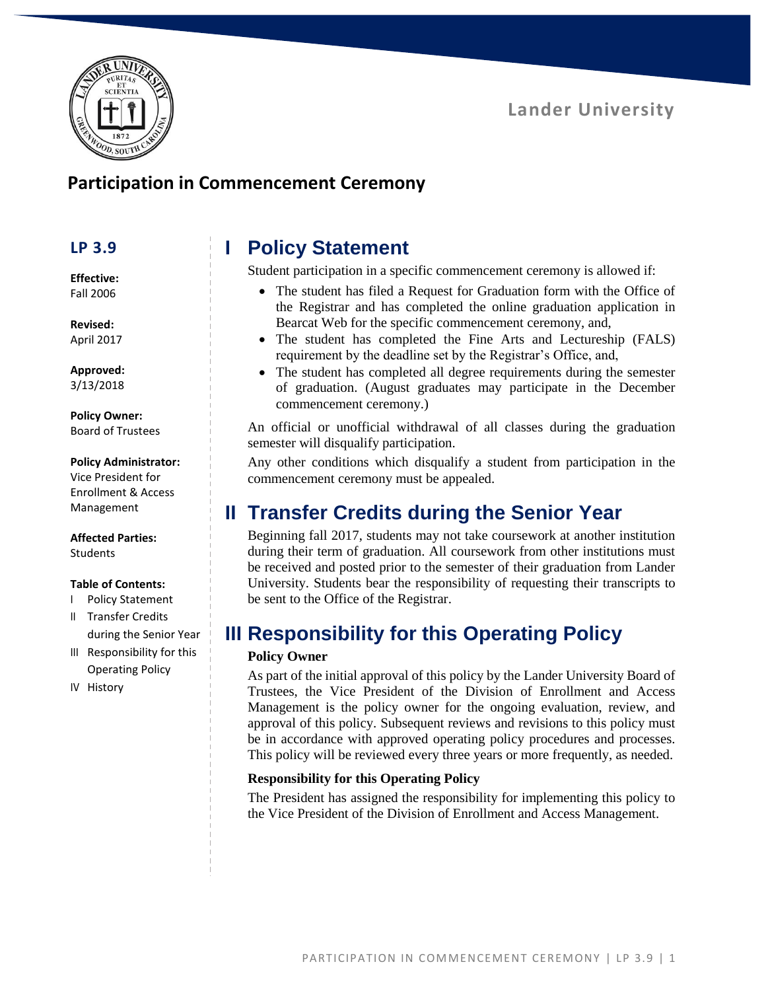



### **Participation in Commencement Ceremony**

### **LP 3.9**

**Effective:** Fall 2006

**Revised:** April 2017

**Approved:** 3/13/2018

#### **Policy Owner:** Board of Trustees

#### **Policy Administrator:**

Vice President for Enrollment & Access Management

#### **Affected Parties:** Students

### **Table of Contents:**

- I Policy Statement
- II Transfer Credits during the Senior Year
- III Responsibility for this Operating Policy
- IV History

# **I Policy Statement**

Student participation in a specific commencement ceremony is allowed if:

- The student has filed a Request for Graduation form with the Office of the Registrar and has completed the online graduation application in Bearcat Web for the specific commencement ceremony, and,
- The student has completed the Fine Arts and Lectureship (FALS) requirement by the deadline set by the Registrar's Office, and,
- The student has completed all degree requirements during the semester of graduation. (August graduates may participate in the December commencement ceremony.)

An official or unofficial withdrawal of all classes during the graduation semester will disqualify participation.

Any other conditions which disqualify a student from participation in the commencement ceremony must be appealed.

# **II Transfer Credits during the Senior Year**

Beginning fall 2017, students may not take coursework at another institution during their term of graduation. All coursework from other institutions must be received and posted prior to the semester of their graduation from Lander University. Students bear the responsibility of requesting their transcripts to be sent to the Office of the Registrar.

### **III Responsibility for this Operating Policy**

### **Policy Owner**

As part of the initial approval of this policy by the Lander University Board of Trustees, the Vice President of the Division of Enrollment and Access Management is the policy owner for the ongoing evaluation, review, and approval of this policy. Subsequent reviews and revisions to this policy must be in accordance with approved operating policy procedures and processes. This policy will be reviewed every three years or more frequently, as needed.

### **Responsibility for this Operating Policy**

The President has assigned the responsibility for implementing this policy to the Vice President of the Division of Enrollment and Access Management.